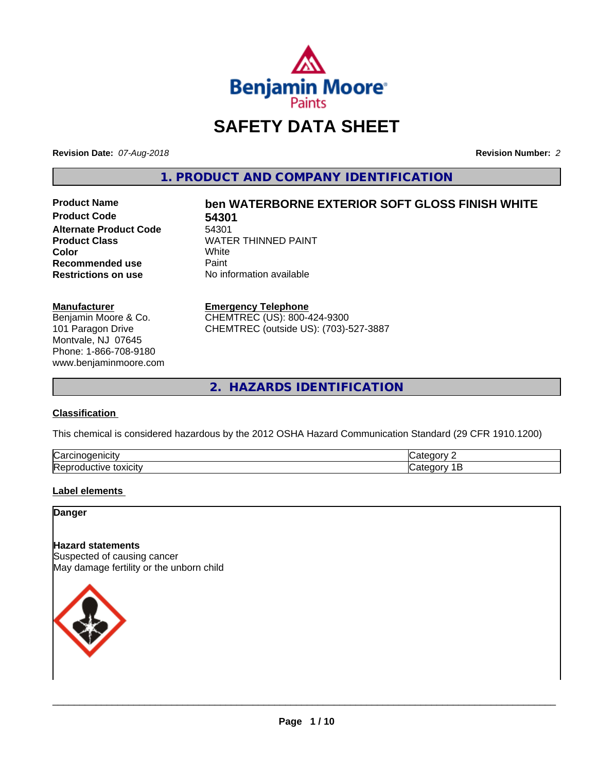

## **SAFETY DATA SHEET**

**Revision Date:** *07-Aug-2018* **Revision Number:** *2*

**1. PRODUCT AND COMPANY IDENTIFICATION**

**Product Code 54301 Alternate Product Code** 54301<br>**Product Class** WATE **Recommended use** Paint<br> **Restrictions on use** No inf

# **Product Name ben WATERBORNE EXTERIOR SOFT GLOSS FINISH WHITE**

**WATER THINNED PAINT**<br>White **Color** White White **No information available** 

#### **Manufacturer**

Benjamin Moore & Co. 101 Paragon Drive Montvale, NJ 07645 Phone: 1-866-708-9180 www.benjaminmoore.com

#### **Emergency Telephone**

CHEMTREC (US): 800-424-9300 CHEMTREC (outside US): (703)-527-3887

**2. HAZARDS IDENTIFICATION**

#### **Classification**

This chemical is considered hazardous by the 2012 OSHA Hazard Communication Standard (29 CFR 1910.1200)

| ⌒<br>/Car<br>110       | "<br>$  -$ |
|------------------------|------------|
| lRer<br>.<br>- XICIIV. | $\epsilon$ |

#### **Label elements**

**Danger**

#### **Hazard statements**

Suspected of causing cancer May damage fertility or the unborn child

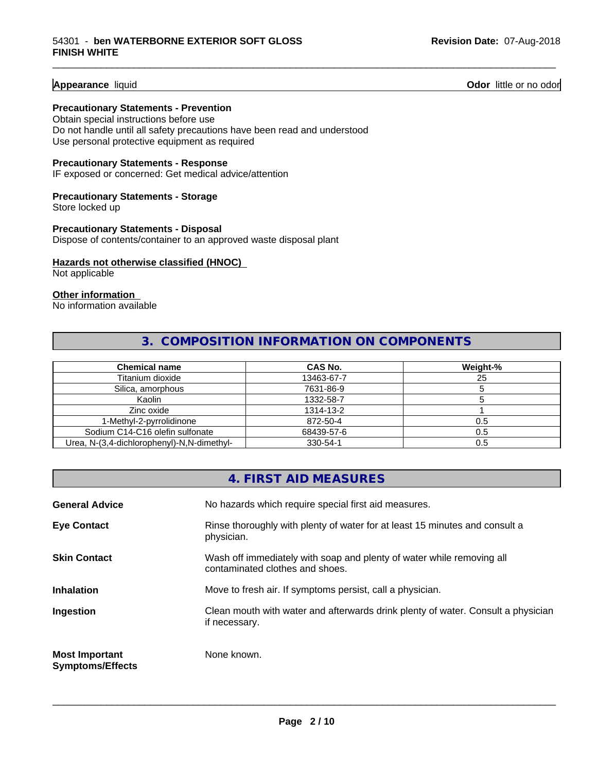**Appearance** liquid **Odor 11** Odor little or no odor

#### **Precautionary Statements - Prevention**

Obtain special instructions before use Do not handle until all safety precautions have been read and understood Use personal protective equipment as required

#### **Precautionary Statements - Response**

IF exposed or concerned: Get medical advice/attention

#### **Precautionary Statements - Storage**

Store locked up

#### **Precautionary Statements - Disposal** Dispose of contents/container to an approved waste disposal plant

#### **Hazards not otherwise classified (HNOC)**

Not applicable

#### **Other information**

No information available

#### **3. COMPOSITION INFORMATION ON COMPONENTS**

\_\_\_\_\_\_\_\_\_\_\_\_\_\_\_\_\_\_\_\_\_\_\_\_\_\_\_\_\_\_\_\_\_\_\_\_\_\_\_\_\_\_\_\_\_\_\_\_\_\_\_\_\_\_\_\_\_\_\_\_\_\_\_\_\_\_\_\_\_\_\_\_\_\_\_\_\_\_\_\_\_\_\_\_\_\_\_\_\_\_\_\_\_

| <b>Chemical name</b>                       | <b>CAS No.</b> | Weight-% |
|--------------------------------------------|----------------|----------|
| Titanium dioxide                           | 13463-67-7     | 25       |
| Silica, amorphous                          | 7631-86-9      |          |
| Kaolin                                     | 1332-58-7      |          |
| Zinc oxide                                 | 1314-13-2      |          |
| 1-Methyl-2-pyrrolidinone                   | 872-50-4       | 0.5      |
| Sodium C14-C16 olefin sulfonate            | 68439-57-6     | 0.5      |
| Urea, N-(3,4-dichlorophenyl)-N,N-dimethyl- | 330-54-1       | 0.5      |

|                                                  | 4. FIRST AID MEASURES                                                                                    |
|--------------------------------------------------|----------------------------------------------------------------------------------------------------------|
| <b>General Advice</b>                            | No hazards which require special first aid measures.                                                     |
| <b>Eye Contact</b>                               | Rinse thoroughly with plenty of water for at least 15 minutes and consult a<br>physician.                |
| <b>Skin Contact</b>                              | Wash off immediately with soap and plenty of water while removing all<br>contaminated clothes and shoes. |
| <b>Inhalation</b>                                | Move to fresh air. If symptoms persist, call a physician.                                                |
| Ingestion                                        | Clean mouth with water and afterwards drink plenty of water. Consult a physician<br>if necessary.        |
| <b>Most Important</b><br><b>Symptoms/Effects</b> | None known.                                                                                              |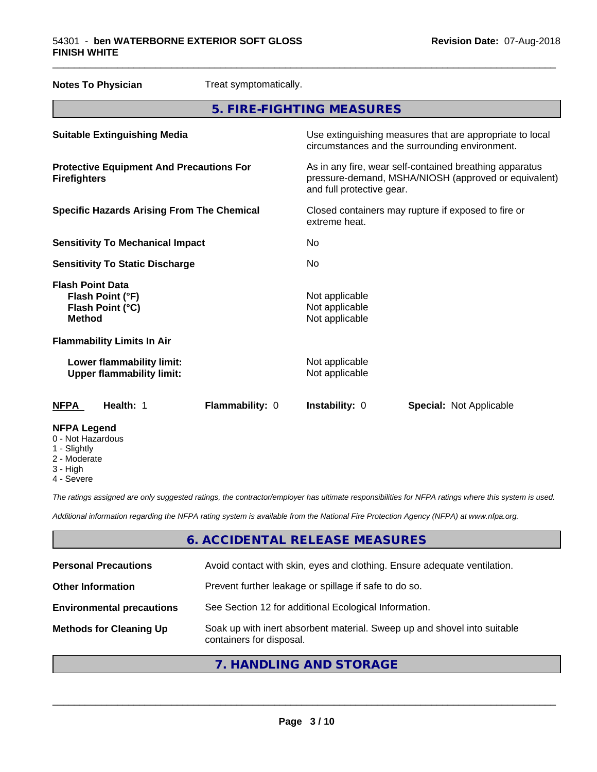| <b>Notes To Physician</b>                                                        | Treat symptomatically. |                                                                      |                                                                                                                 |  |
|----------------------------------------------------------------------------------|------------------------|----------------------------------------------------------------------|-----------------------------------------------------------------------------------------------------------------|--|
|                                                                                  |                        | 5. FIRE-FIGHTING MEASURES                                            |                                                                                                                 |  |
| <b>Suitable Extinguishing Media</b>                                              |                        |                                                                      | Use extinguishing measures that are appropriate to local<br>circumstances and the surrounding environment.      |  |
| <b>Protective Equipment And Precautions For</b><br><b>Firefighters</b>           |                        | and full protective gear.                                            | As in any fire, wear self-contained breathing apparatus<br>pressure-demand, MSHA/NIOSH (approved or equivalent) |  |
| <b>Specific Hazards Arising From The Chemical</b>                                |                        | Closed containers may rupture if exposed to fire or<br>extreme heat. |                                                                                                                 |  |
| <b>Sensitivity To Mechanical Impact</b>                                          |                        | No                                                                   |                                                                                                                 |  |
| <b>Sensitivity To Static Discharge</b>                                           |                        | No.                                                                  |                                                                                                                 |  |
| <b>Flash Point Data</b><br>Flash Point (°F)<br>Flash Point (°C)<br><b>Method</b> |                        | Not applicable<br>Not applicable<br>Not applicable                   |                                                                                                                 |  |
| <b>Flammability Limits In Air</b>                                                |                        |                                                                      |                                                                                                                 |  |
| Lower flammability limit:<br><b>Upper flammability limit:</b>                    |                        | Not applicable<br>Not applicable                                     |                                                                                                                 |  |
| <b>NFPA</b><br>Health: 1                                                         | Flammability: 0        | Instability: 0                                                       | <b>Special: Not Applicable</b>                                                                                  |  |
| <b>NFPA Legend</b><br>0 - Not Hazardous<br>1 - Slightly                          |                        |                                                                      |                                                                                                                 |  |

- Slightly
- 2 Moderate
- 3 High
- 4 Severe

*The ratings assigned are only suggested ratings, the contractor/employer has ultimate responsibilities for NFPA ratings where this system is used.*

*Additional information regarding the NFPA rating system is available from the National Fire Protection Agency (NFPA) at www.nfpa.org.*

#### **6. ACCIDENTAL RELEASE MEASURES**

| <b>Personal Precautions</b>      | Avoid contact with skin, eyes and clothing. Ensure adequate ventilation.                             |
|----------------------------------|------------------------------------------------------------------------------------------------------|
| <b>Other Information</b>         | Prevent further leakage or spillage if safe to do so.                                                |
| <b>Environmental precautions</b> | See Section 12 for additional Ecological Information.                                                |
| <b>Methods for Cleaning Up</b>   | Soak up with inert absorbent material. Sweep up and shovel into suitable<br>containers for disposal. |
|                                  |                                                                                                      |

#### **7. HANDLING AND STORAGE**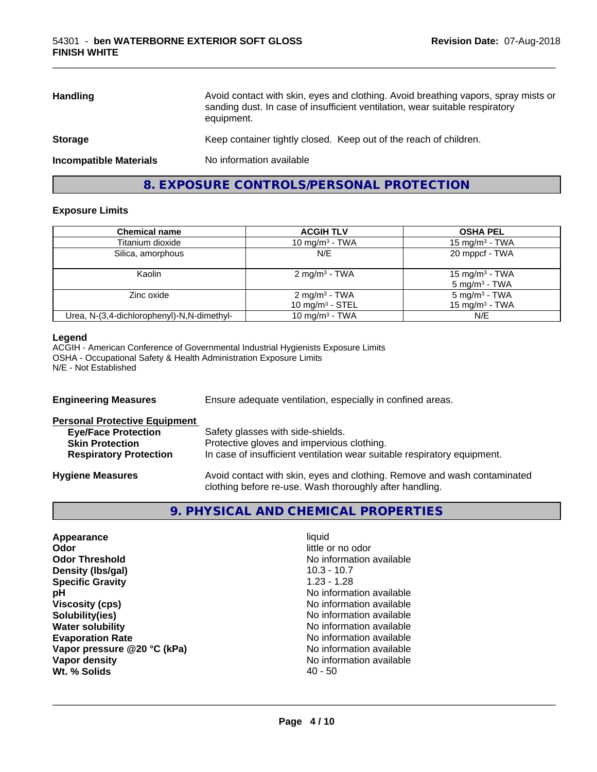| <b>Handling</b>               | Avoid contact with skin, eyes and clothing. Avoid breathing vapors, spray mists or<br>sanding dust. In case of insufficient ventilation, wear suitable respiratory<br>equipment. |
|-------------------------------|----------------------------------------------------------------------------------------------------------------------------------------------------------------------------------|
| <b>Storage</b>                | Keep container tightly closed. Keep out of the reach of children.                                                                                                                |
| <b>Incompatible Materials</b> | No information available                                                                                                                                                         |

\_\_\_\_\_\_\_\_\_\_\_\_\_\_\_\_\_\_\_\_\_\_\_\_\_\_\_\_\_\_\_\_\_\_\_\_\_\_\_\_\_\_\_\_\_\_\_\_\_\_\_\_\_\_\_\_\_\_\_\_\_\_\_\_\_\_\_\_\_\_\_\_\_\_\_\_\_\_\_\_\_\_\_\_\_\_\_\_\_\_\_\_\_

#### **8. EXPOSURE CONTROLS/PERSONAL PROTECTION**

#### **Exposure Limits**

| <b>Chemical name</b>                       | <b>ACGIH TLV</b>                               | <b>OSHA PEL</b>                                |
|--------------------------------------------|------------------------------------------------|------------------------------------------------|
| Titanium dioxide                           | 10 mg/m $3$ - TWA                              | 15 mg/m <sup>3</sup> - TWA                     |
| Silica, amorphous                          | N/E                                            | 20 mppcf - TWA                                 |
| Kaolin                                     | $2 \text{ mg/m}^3$ - TWA                       | 15 mg/m $3$ - TWA<br>5 mg/m <sup>3</sup> - TWA |
| Zinc oxide                                 | $2 \text{ mg/m}^3$ - TWA<br>10 mg/m $3 -$ STEL | 5 mg/m <sup>3</sup> - TWA<br>15 mg/m $3$ - TWA |
| Urea, N-(3,4-dichlorophenyl)-N,N-dimethyl- | 10 mg/m <sup>3</sup> - TWA                     | N/E                                            |

#### **Legend**

ACGIH - American Conference of Governmental Industrial Hygienists Exposure Limits OSHA - Occupational Safety & Health Administration Exposure Limits N/E - Not Established

| <b>Engineering Measures</b>          | Ensure adequate ventilation, especially in confined areas.                                                                          |  |  |
|--------------------------------------|-------------------------------------------------------------------------------------------------------------------------------------|--|--|
| <b>Personal Protective Equipment</b> |                                                                                                                                     |  |  |
| <b>Eye/Face Protection</b>           | Safety glasses with side-shields.                                                                                                   |  |  |
| <b>Skin Protection</b>               | Protective gloves and impervious clothing.                                                                                          |  |  |
| <b>Respiratory Protection</b>        | In case of insufficient ventilation wear suitable respiratory equipment.                                                            |  |  |
| <b>Hygiene Measures</b>              | Avoid contact with skin, eyes and clothing. Remove and wash contaminated<br>clothing before re-use. Wash thoroughly after handling. |  |  |

#### **9. PHYSICAL AND CHEMICAL PROPERTIES**

| Appearance                  | liquid                   |
|-----------------------------|--------------------------|
| Odor                        | little or no odor        |
| <b>Odor Threshold</b>       | No information available |
| Density (Ibs/gal)           | $10.3 - 10.7$            |
| <b>Specific Gravity</b>     | $1.23 - 1.28$            |
| рH                          | No information available |
| <b>Viscosity (cps)</b>      | No information available |
| Solubility(ies)             | No information available |
| <b>Water solubility</b>     | No information available |
| <b>Evaporation Rate</b>     | No information available |
| Vapor pressure @20 °C (kPa) | No information available |
| Vapor density               | No information available |
| Wt. % Solids                | $40 - 50$                |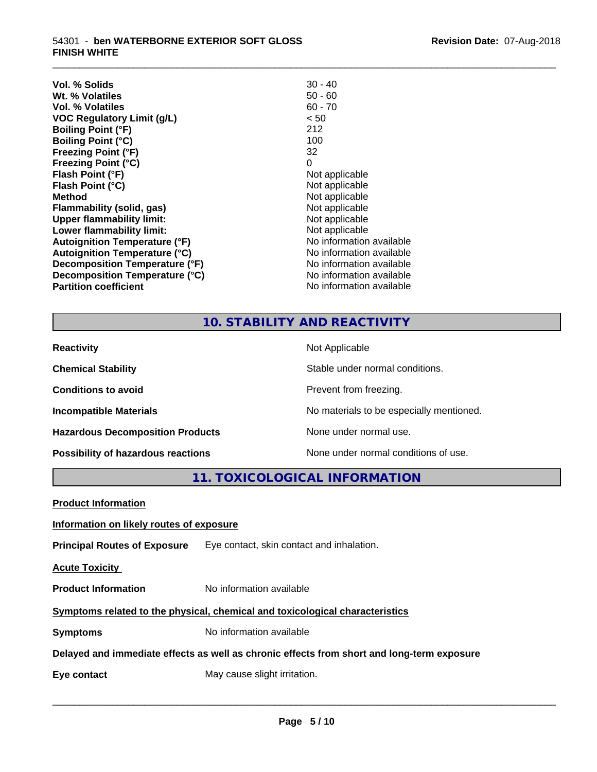| Vol. % Solids                        | $30 - 40$                |
|--------------------------------------|--------------------------|
| Wt. % Volatiles                      | 50 - 60                  |
| Vol. % Volatiles                     | $60 - 70$                |
| <b>VOC Regulatory Limit (g/L)</b>    | < 50                     |
| <b>Boiling Point (°F)</b>            | 212                      |
| <b>Boiling Point (°C)</b>            | 100                      |
| <b>Freezing Point (°F)</b>           | 32                       |
| <b>Freezing Point (°C)</b>           | 0                        |
| Flash Point (°F)                     | Not applicable           |
| Flash Point (°C)                     | Not applicable           |
| <b>Method</b>                        | Not applicable           |
| Flammability (solid, gas)            | Not applicable           |
| <b>Upper flammability limit:</b>     | Not applicable           |
| Lower flammability limit:            | Not applicable           |
| <b>Autoignition Temperature (°F)</b> | No information available |
| <b>Autoignition Temperature (°C)</b> | No information available |
| Decomposition Temperature (°F)       | No information available |
| Decomposition Temperature (°C)       | No information available |
| <b>Partition coefficient</b>         | No information available |

### **10. STABILITY AND REACTIVITY**

\_\_\_\_\_\_\_\_\_\_\_\_\_\_\_\_\_\_\_\_\_\_\_\_\_\_\_\_\_\_\_\_\_\_\_\_\_\_\_\_\_\_\_\_\_\_\_\_\_\_\_\_\_\_\_\_\_\_\_\_\_\_\_\_\_\_\_\_\_\_\_\_\_\_\_\_\_\_\_\_\_\_\_\_\_\_\_\_\_\_\_\_\_

| <b>Reactivity</b>                         | Not Applicable                           |
|-------------------------------------------|------------------------------------------|
| <b>Chemical Stability</b>                 | Stable under normal conditions.          |
| <b>Conditions to avoid</b>                | Prevent from freezing.                   |
| <b>Incompatible Materials</b>             | No materials to be especially mentioned. |
| <b>Hazardous Decomposition Products</b>   | None under normal use.                   |
| <b>Possibility of hazardous reactions</b> | None under normal conditions of use.     |

**11. TOXICOLOGICAL INFORMATION**

| <b>Product Information</b>                                                                 |                                                                               |  |  |
|--------------------------------------------------------------------------------------------|-------------------------------------------------------------------------------|--|--|
| Information on likely routes of exposure                                                   |                                                                               |  |  |
|                                                                                            | <b>Principal Routes of Exposure</b> Eye contact, skin contact and inhalation. |  |  |
| <b>Acute Toxicity</b>                                                                      |                                                                               |  |  |
| <b>Product Information</b>                                                                 | No information available                                                      |  |  |
| Symptoms related to the physical, chemical and toxicological characteristics               |                                                                               |  |  |
| <b>Symptoms</b>                                                                            | No information available                                                      |  |  |
| Delayed and immediate effects as well as chronic effects from short and long-term exposure |                                                                               |  |  |
| Eye contact                                                                                | May cause slight irritation.                                                  |  |  |
|                                                                                            |                                                                               |  |  |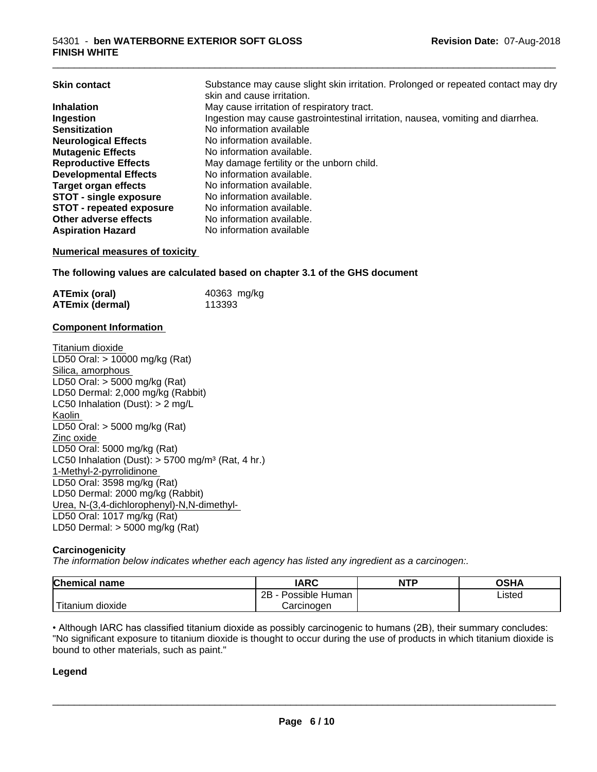| <b>Skin contact</b>             | Substance may cause slight skin irritation. Prolonged or repeated contact may dry<br>skin and cause irritation. |
|---------------------------------|-----------------------------------------------------------------------------------------------------------------|
| <b>Inhalation</b>               | May cause irritation of respiratory tract.                                                                      |
| Ingestion                       | Ingestion may cause gastrointestinal irritation, nausea, vomiting and diarrhea.                                 |
| <b>Sensitization</b>            | No information available                                                                                        |
| <b>Neurological Effects</b>     | No information available.                                                                                       |
| <b>Mutagenic Effects</b>        | No information available.                                                                                       |
| <b>Reproductive Effects</b>     | May damage fertility or the unborn child.                                                                       |
| <b>Developmental Effects</b>    | No information available.                                                                                       |
| Target organ effects            | No information available.                                                                                       |
| <b>STOT - single exposure</b>   | No information available.                                                                                       |
| <b>STOT - repeated exposure</b> | No information available.                                                                                       |
| Other adverse effects           | No information available.                                                                                       |
| <b>Aspiration Hazard</b>        | No information available                                                                                        |

#### **Numerical measures of toxicity**

**The following values are calculated based on chapter 3.1 of the GHS document**

| <b>ATEmix (oral)</b> | 40363 mg/kg |
|----------------------|-------------|
| ATEmix (dermal)      | 113393      |

#### **Component Information**

Titanium dioxide LD50 Oral: > 10000 mg/kg (Rat) Silica, amorphous LD50 Oral: > 5000 mg/kg (Rat) LD50 Dermal: 2,000 mg/kg (Rabbit) LC50 Inhalation (Dust): > 2 mg/L Kaolin LD50 Oral: > 5000 mg/kg (Rat) Zinc oxide LD50 Oral: 5000 mg/kg (Rat) LC50 Inhalation (Dust):  $> 5700$  mg/m<sup>3</sup> (Rat, 4 hr.) 1-Methyl-2-pyrrolidinone LD50 Oral: 3598 mg/kg (Rat) LD50 Dermal: 2000 mg/kg (Rabbit) Urea, N-(3,4-dichlorophenyl)-N,N-dimethyl- LD50 Oral: 1017 mg/kg (Rat) LD50 Dermal: > 5000 mg/kg (Rat)

#### **Carcinogenicity**

*The information below indicateswhether each agency has listed any ingredient as a carcinogen:.*

| Chemical<br>name       | <b>IARC</b>                  | <b>NTP</b> | OSHA   |
|------------------------|------------------------------|------------|--------|
|                        | .<br>2B<br>Possible<br>Human |            | ∟isted |
| n dioxide<br>l itanıum | Carcinoɑen                   |            |        |

• Although IARC has classified titanium dioxide as possibly carcinogenic to humans (2B), their summary concludes: "No significant exposure to titanium dioxide is thought to occur during the use of products in which titanium dioxide is bound to other materials, such as paint."

#### **Legend**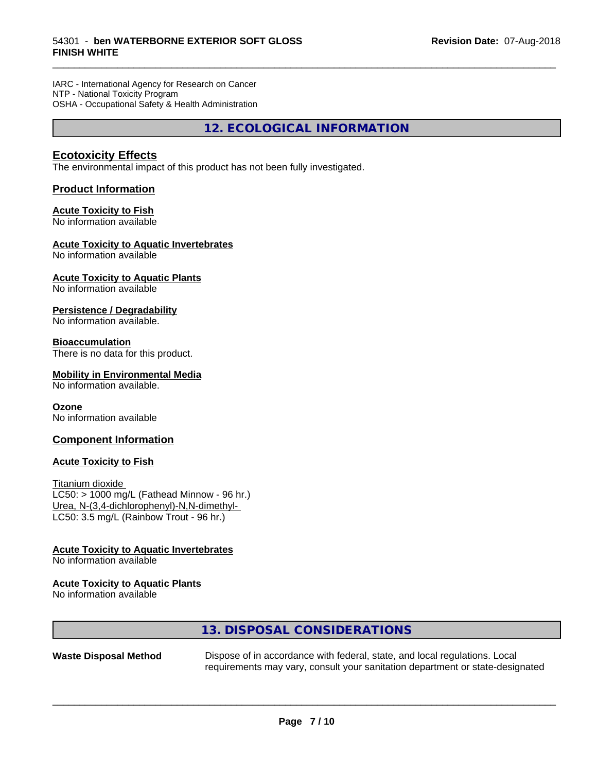IARC - International Agency for Research on Cancer NTP - National Toxicity Program OSHA - Occupational Safety & Health Administration

**12. ECOLOGICAL INFORMATION**

\_\_\_\_\_\_\_\_\_\_\_\_\_\_\_\_\_\_\_\_\_\_\_\_\_\_\_\_\_\_\_\_\_\_\_\_\_\_\_\_\_\_\_\_\_\_\_\_\_\_\_\_\_\_\_\_\_\_\_\_\_\_\_\_\_\_\_\_\_\_\_\_\_\_\_\_\_\_\_\_\_\_\_\_\_\_\_\_\_\_\_\_\_

#### **Ecotoxicity Effects**

The environmental impact of this product has not been fully investigated.

#### **Product Information**

#### **Acute Toxicity to Fish**

No information available

#### **Acute Toxicity to Aquatic Invertebrates**

No information available

#### **Acute Toxicity to Aquatic Plants**

No information available

#### **Persistence / Degradability**

No information available.

#### **Bioaccumulation**

There is no data for this product.

#### **Mobility in Environmental Media**

No information available.

#### **Ozone**

No information available

#### **Component Information**

#### **Acute Toxicity to Fish**

Titanium dioxide  $LC50:$  > 1000 mg/L (Fathead Minnow - 96 hr.) Urea, N-(3,4-dichlorophenyl)-N,N-dimethyl- LC50: 3.5 mg/L (Rainbow Trout - 96 hr.)

#### **Acute Toxicity to Aquatic Invertebrates**

No information available

#### **Acute Toxicity to Aquatic Plants**

No information available

#### **13. DISPOSAL CONSIDERATIONS**

**Waste Disposal Method** Dispose of in accordance with federal, state, and local regulations. Local requirements may vary, consult your sanitation department or state-designated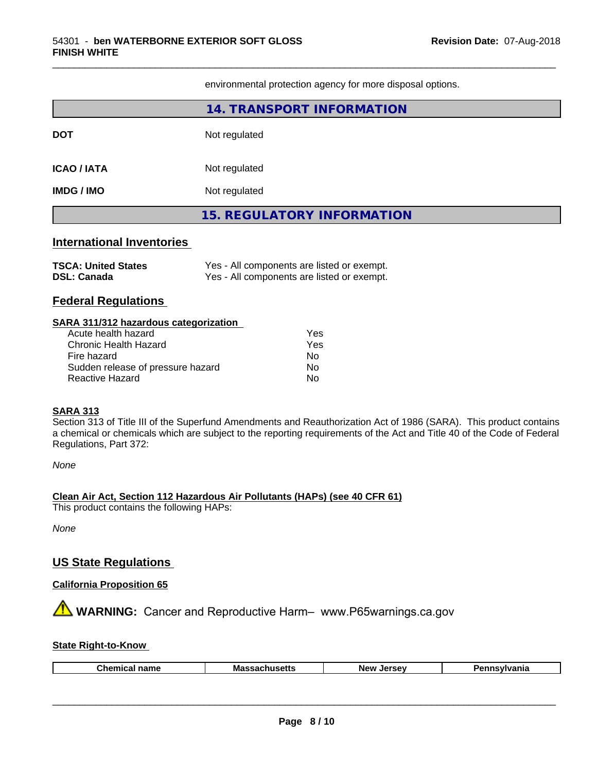environmental protection agency for more disposal options.

\_\_\_\_\_\_\_\_\_\_\_\_\_\_\_\_\_\_\_\_\_\_\_\_\_\_\_\_\_\_\_\_\_\_\_\_\_\_\_\_\_\_\_\_\_\_\_\_\_\_\_\_\_\_\_\_\_\_\_\_\_\_\_\_\_\_\_\_\_\_\_\_\_\_\_\_\_\_\_\_\_\_\_\_\_\_\_\_\_\_\_\_\_

|                                                                                                                                                                                                             | 14. TRANSPORT INFORMATION                                                                |  |  |
|-------------------------------------------------------------------------------------------------------------------------------------------------------------------------------------------------------------|------------------------------------------------------------------------------------------|--|--|
| <b>DOT</b>                                                                                                                                                                                                  | Not regulated                                                                            |  |  |
| <b>ICAO / IATA</b>                                                                                                                                                                                          | Not regulated                                                                            |  |  |
| <b>IMDG / IMO</b>                                                                                                                                                                                           | Not regulated                                                                            |  |  |
|                                                                                                                                                                                                             | <b>15. REGULATORY INFORMATION</b>                                                        |  |  |
| <b>International Inventories</b>                                                                                                                                                                            |                                                                                          |  |  |
| <b>TSCA: United States</b><br><b>DSL: Canada</b>                                                                                                                                                            | Yes - All components are listed or exempt.<br>Yes - All components are listed or exempt. |  |  |
| <b>Federal Regulations</b>                                                                                                                                                                                  |                                                                                          |  |  |
| SARA 311/312 hazardous categorization<br>Acute health hazard<br>Yes<br><b>Chronic Health Hazard</b><br>Yes<br>Fire hazard<br>No.<br>Sudden release of pressure hazard<br>No<br>Reactive Hazard<br><b>No</b> |                                                                                          |  |  |

#### **SARA 313**

Section 313 of Title III of the Superfund Amendments and Reauthorization Act of 1986 (SARA). This product contains a chemical or chemicals which are subject to the reporting requirements of the Act and Title 40 of the Code of Federal Regulations, Part 372:

*None*

#### **Clean Air Act,Section 112 Hazardous Air Pollutants (HAPs) (see 40 CFR 61)**

This product contains the following HAPs:

*None*

#### **US State Regulations**

#### **California Proposition 65**

**AVIMARNING:** Cancer and Reproductive Harm– www.P65warnings.ca.gov

#### **State Right-to-Know**

|--|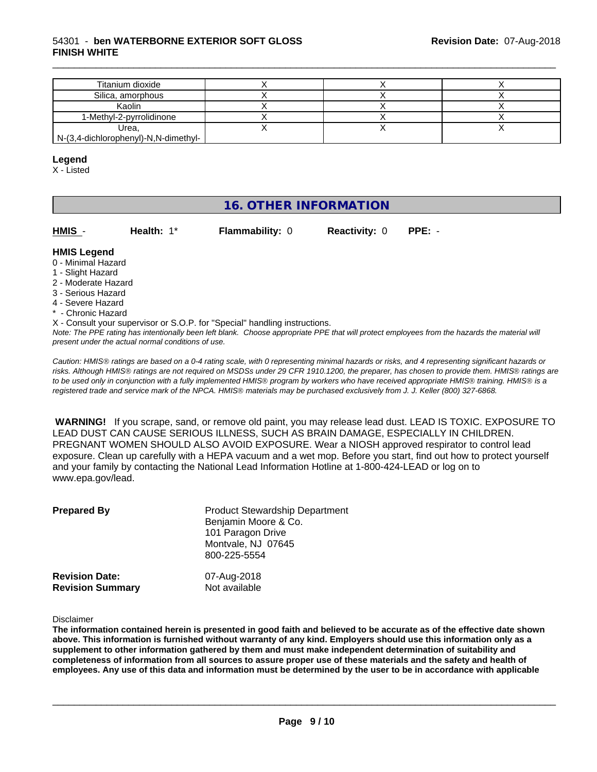#### 54301 - **ben WATERBORNE EXTERIOR SOFT GLOSS FINISH WHITE**

| Titanium dioxide                     |  |  |
|--------------------------------------|--|--|
| Silica, amorphous                    |  |  |
| Kaolin                               |  |  |
| 1-Methyl-2-pyrrolidinone             |  |  |
| Urea,                                |  |  |
| N-(3,4-dichlorophenyl)-N,N-dimethyl- |  |  |

\_\_\_\_\_\_\_\_\_\_\_\_\_\_\_\_\_\_\_\_\_\_\_\_\_\_\_\_\_\_\_\_\_\_\_\_\_\_\_\_\_\_\_\_\_\_\_\_\_\_\_\_\_\_\_\_\_\_\_\_\_\_\_\_\_\_\_\_\_\_\_\_\_\_\_\_\_\_\_\_\_\_\_\_\_\_\_\_\_\_\_\_\_

#### **Legend**

X - Listed

#### **16. OTHER INFORMATION**

| HMIS        | Health: $1^*$ | <b>Flammability: 0</b> | <b>Reactivity: 0</b> | $PPE: -$ |
|-------------|---------------|------------------------|----------------------|----------|
| hana I 2IMH |               |                        |                      |          |

#### **HMIS Legend** 0 - Minimal Hazard

- 1 Slight Hazard
- 2 Moderate Hazard
- 3 Serious Hazard
- 4 Severe Hazard
- \* Chronic Hazard

X - Consult your supervisor or S.O.P. for "Special" handling instructions.

*Note: The PPE rating has intentionally been left blank. Choose appropriate PPE that will protect employees from the hazards the material will present under the actual normal conditions of use.*

*Caution: HMISÒ ratings are based on a 0-4 rating scale, with 0 representing minimal hazards or risks, and 4 representing significant hazards or risks. Although HMISÒ ratings are not required on MSDSs under 29 CFR 1910.1200, the preparer, has chosen to provide them. HMISÒ ratings are to be used only in conjunction with a fully implemented HMISÒ program by workers who have received appropriate HMISÒ training. HMISÒ is a registered trade and service mark of the NPCA. HMISÒ materials may be purchased exclusively from J. J. Keller (800) 327-6868.*

 **WARNING!** If you scrape, sand, or remove old paint, you may release lead dust. LEAD IS TOXIC. EXPOSURE TO LEAD DUST CAN CAUSE SERIOUS ILLNESS, SUCH AS BRAIN DAMAGE, ESPECIALLY IN CHILDREN. PREGNANT WOMEN SHOULD ALSO AVOID EXPOSURE.Wear a NIOSH approved respirator to control lead exposure. Clean up carefully with a HEPA vacuum and a wet mop. Before you start, find out how to protect yourself and your family by contacting the National Lead Information Hotline at 1-800-424-LEAD or log on to www.epa.gov/lead.

| <b>Prepared By</b>      | <b>Product Stewardship Department</b><br>Benjamin Moore & Co.<br>101 Paragon Drive<br>Montvale, NJ 07645<br>800-225-5554 |
|-------------------------|--------------------------------------------------------------------------------------------------------------------------|
| <b>Revision Date:</b>   | 07-Aug-2018                                                                                                              |
| <b>Revision Summary</b> | Not available                                                                                                            |

#### Disclaimer

The information contained herein is presented in good faith and believed to be accurate as of the effective date shown above. This information is furnished without warranty of any kind. Employers should use this information only as a **supplement to other information gathered by them and must make independent determination of suitability and** completeness of information from all sources to assure proper use of these materials and the safety and health of employees. Any use of this data and information must be determined by the user to be in accordance with applicable